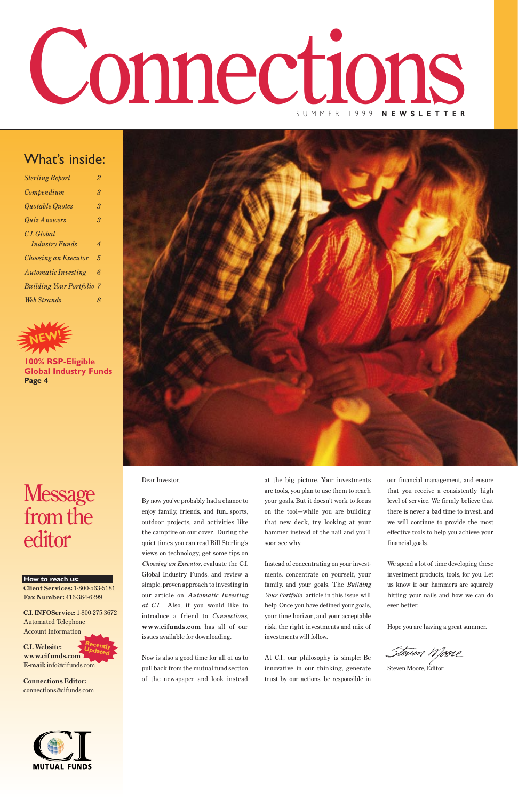### What's inside:

# Connections SUMMER 1999 **NEWSLETTER**

| <b>Sterling Report</b>           | 2                         |
|----------------------------------|---------------------------|
| Compendium                       | 3                         |
| Quotable Quotes                  | 3                         |
| Quiz Answers                     | 3                         |
| C.I. Global                      |                           |
| <b>Industry Funds</b>            | $\boldsymbol{\varLambda}$ |
| <b>Choosing an Executor</b>      | 5                         |
| <b>Automatic Investing</b>       | 6                         |
| <b>Building Your Portfolio 7</b> |                           |
| Web Strands                      | 8                         |



Dear Investor,

By now you've probably had a chance to enjoy family, friends, and fun…sports, outdoor projects, and activities like the campfire on our cover. During the quiet times you can read Bill Sterling's views on technology, get some tips on *Choosing an Executor*, evaluate the C.I. Global Industry Funds, and review a simple, proven approach to investing in our article on *Automatic Investing at C.I.* Also, if you would like to introduce a friend to *Connections*, **www.cifunds.com** has all of our issues available for downloading.

Now is also a good time for all of us to pull back from the mutual fund section of the newspaper and look instead

at the big picture. Your investments are tools, you plan to use them to reach your goals. But it doesn't work to focus on the tool—while you are building that new deck, try looking at your hammer instead of the nail and you'll soon see why.

Instead of concentrating on your investments, concentrate on yourself, your family, and your goals. The *Building Your Portfolio* article in this issue will help. Once you have defined your goals, your time horizon, and your acceptable risk, the right investments and mix of investments will follow.

At C.I., our philosophy is simple: Be innovative in our thinking, generate trust by our actions, be responsible in our financial management, and ensure that you receive a consistently high level of service. We firmly believe that there is never a bad time to invest, and we will continue to provide the most effective tools to help you achieve your financial goals.

We spend a lot of time developing these investment products, tools, for you. Let us know if our hammers are squarely

hitting your nails and how we can do even better.

Hope you are having a great summer.

Steven Wjooie

Steven Moore, Editor



**How to reach us:**



**Client Services:** 1-800-563-5181 **Fax Number:** 416-364-6299

**C.I. INFOService:** 1-800-275-3672 Automated Telephone Account Information

**C.I. Website: www.cifunds.com E-mail:** info@cifunds.com **Recently Updated**

**Connections Editor:**  connections@cifunds.com



**100% RSP-Eligible Global Industry Funds Page 4**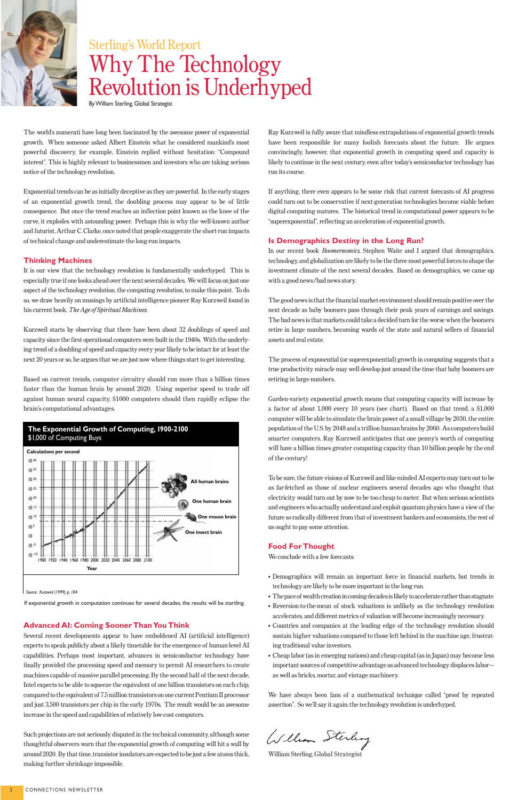The world's numerati have long been fascinated by the awesome power of exponential growth. When someone asked Albert Einstein what he considered mankind's most powerful discovery, for example, Einstein replied without hesitation: "Compound interest". This is highly relevant to businessmen and investors who are taking serious notice of the technology revolution.

Exponential trends can be as initially deceptive as they are powerful. In the early stages of an exponential growth trend, the doubling process may appear to be of little consequence. But once the trend reaches an inflection point known as the knee of the curve, it explodes with astounding power. Perhaps this is why the well-known author and futurist, Arthur C. Clarke, once noted that people exaggerate the short-run impacts of technical change and underestimate the long-run impacts.

#### **Thinking Machines**

It is our view that the technology revolution is fundamentally underhyped. This is especially true if one looks ahead over the next several decades. We will focus on just one aspect of the technology revolution, the computing revolution, to make this point. To do so, we draw heavily on musings by artificial intelligence pioneer Ray Kurzweil found in his current book, *The Age of Spiritual Machines*.

Kurzweil starts by observing that there have been about 32 doublings of speed and capacity since the first operational computers were built in the 1940s. With the underlying trend of a doubling of speed and capacity every year likely to be intact for at least the next 20 years or so, he argues that we are just now where things start to get interesting.

Based on current trends, computer circuitry should run more than a billion times faster than the human brain by around 2020. Using superior speed to trade off against human neural capacity, \$1000 computers should then rapidly eclipse the brain's computational advantages.

#### **Advanced AI: Coming Sooner Than You Think**

Several recent developments appear to have emboldened AI (artificial intelligence) experts to speak publicly about a likely timetable for the emergence of human-level AI capabilities. Perhaps most important, advances in semiconductor technology have finally provided the processing speed and memory to permit AI researchers to create machines capable of massive parallel processing. By the second half of the next decade, Intel expects to be able to squeeze the equivalent of one billion transistors on each chip, compared to the equivalent of 7.5 million transistors on one current Pentium II processor and just 3,500 transistors per chip in the early 1970s. The result would be an awesome increase in the speed and capabilities of relatively low-cost computers.

Such projections are not seriously disputed in the technical community, although some thoughtful observers warn that the exponential growth of computing will hit a wall by around 2020. By that time, transistor insulators are expected to be just a few atoms thick, making further shrinkage impossible.

Ray Kurzweil is fully aware that mindless extrapolations of exponential growth trends have been responsible for many foolish forecasts about the future. He argues convincingly, however, that exponential growth in computing speed and capacity is likely to continue in the next century, even after today's semiconductor technology has run its course.

If anything, there even appears to be some risk that current forecasts of AI progress could turn out to be conservative if next-generation technologies become viable before digital computing matures. The historical trend in computational power appears to be "superexponential", reflecting an acceleration of exponential growth.

#### **Is Demographics Destiny in the Long Run?**

In our recent book *Boomernomics*, Stephen Waite and I argued that demographics, technology, and globalization are likely to be the three most powerful forces to shape the investment climate of the next several decades. Based on demographics, we came up with a good news/bad news story.

The good news is that the financial market environment should remain positive over the next decade as baby boomers pass through their peak years of earnings and savings. The bad news is that markets could take a decided turn for the worse when the boomers retire in large numbers, becoming wards of the state and natural sellers of financial assets and real estate.

The process of exponential (or superexponential) growth in computing suggests that a true productivity miracle may well develop just around the time that baby boomers are retiring in large numbers.

Garden-variety exponential growth means that computing capacity will increase by a factor of about 1,000 every 10 years (see chart). Based on that trend, a \$1,000 computer will be able to simulate the brain power of a small village by 2030, the entire population of the U.S. by 2048 and a trillion human brains by 2060. As computers build smarter computers, Ray Kurzweil anticipates that one penny's worth of computing will have a billion times greater computing capacity than 10 billion people by the end of the century!

To be sure, the future visions of Kurzweil and like-minded AI experts may turn out to be as far-fetched as those of nuclear engineers several decades ago who thought that electricity would turn out by now to be too cheap to meter. But when serious scientists and engineers who actually understand and exploit quantum physics have a view of the future so radically different from that of investment bankers and economists, the rest of us ought to pay some attention.

#### **Food For Thought**

We conclude with a few forecasts:

• Demographics will remain an important force in financial markets, but trends in technology are likely to be more important in the long run.

- The pace of wealth creation in coming decades is likely to accelerate rather than stagnate.
- Reversion-to-the-mean of stock valuations is unlikely as the technology revolution accelerates, and different metrics of valuation will become increasingly necessary.
- Countries and companies at the leading edge of the technology revolution should sustain higher valuations compared to those left behind in the machine age, frustrating traditional value investors.
- Cheap labor (as in emerging nations) and cheap capital (as in Japan) may become less important sources of competitive advantage as advanced technology displaces labor as well as bricks, mortar, and vintage machinery.

We have always been fans of a mathematical technique called "proof by repeated assertion". So we'll say it again: the technology revolution is underhyped.

William Sterling

William Sterling, Global Strategist



## Sterling's World Report Why The Technology Revolution is Underhyped

By William Sterling, Global Strategist

*Source: Kurzweil (1999), p. 104*



If exponential growth in computation continues for several decades, the results will be startling.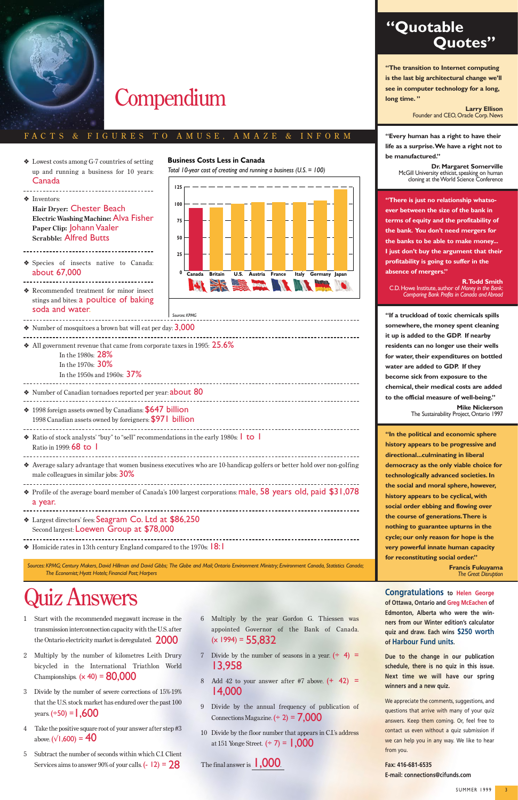### **"Quotable Quotes"**

*Sources: KPMG; Century Makers, David Hillman and David Gibbs; The Globe and Mail; Ontario Environment Ministry; Environment Canada, Statistics Canada; The Economist; Hyatt Hotels; Financial Post; Harpers*

#### ❖ Recommended treatment for minor insect stings and bites: a poultice of baking soda and water. \_\_\_\_\_\_\_\_\_\_\_\_\_\_\_\_\_\_\_\_\_\_\_\_\_\_\_

--------------------------------------

 $\cdot$  Number of mosquitoes a brown bat will eat per day:  $3,000$ 

❖ Lowest costs among G-7 countries of setting up and running a business for 10 years: Canada



❖ Inventors:

# **Compendium**

**Hair Dryer:** Chester Beach

 $\bullet$  All government revenue that came from corporate taxes in 1995: 25.6% In the 1980s: 28%

- In the 1970s: 30%
- In the 1950s and 1960s: **37%**

**Electric Washing Machine:** Alva Fisher

**Paper Clip:** Johann Vaaler **Scrabble:** Alfred Butts

❖ Species of insects native to Canada:

about 67,000

❖ Number of Canadian tornadoes reported per year: about 80

- ❖ 1998 foreign assets owned by Canadians: \$647 billion
- 1998 Canadian assets owned by foreigners: \$971 billion

◆ Ratio of stock analysts' "buy" to "sell" recommendations in the early 1980s: 1 to 1 Ratio in 1999: **68 to 1** 

❖ Average salary advantage that women business executives who are 10-handicap golfers or better hold over non-golfing male colleagues in similar jobs: 30%

- ❖ Profile of the average board member of Canada's 100 largest corporations: male, 58 years old, paid \$31,078 a year.
- ❖ Largest directors' fees: Seagram Co. Ltd at \$86,250 Second largest: Loewen Group at \$78,000
- 

 $\triangleleft$  Homicide rates in 13th century England compared to the 1970s:  $\vert 8: \vert$ 

#### FAC T S & F I G U R E S T O A M U S E , A M A Z E & I N F O R M

**"The transition to Internet computing is the last big architectural change we'll see in computer technology for a long, long time. "**

> **Larry Ellison** Founder and CEO, Oracle Corp. News

- 1 Start with the recommended megawatt increase in the transmission interconnection capacity with the U.S. after the Ontario electricity market is deregulated.  $2000$
- 2 Multiply by the number of kilometres Leith Drury bicycled in the International Triathlon World Championships.  $(x 40) = 80,000$
- 3 Divide by the number of severe corrections of 15%-19% that the U.S. stock market has endured over the past 100 years.  $(+50) = 1,600$
- 4 Take the positive square root of your answer after step #3 above.  $(\sqrt{1,600}) = 40$
- 5 Subtract the number of seconds within which C.I. Client Services aims to answer 90% of your calls.  $(-12) = 28$

**"Every human has a right to have their life as a surprise.We have a right not to be manufactured."** 

> **Dr. Margaret Somerville** McGill University ethicist, speaking on human cloning at the World Science Conference

6 Multiply by the year Gordon G. Thiessen was appointed Governor of the Bank of Canada.  $(x 1994) = 55,832$ 

-------------------------------

- 7 Divide by the number of seasons in a year.  $( \div 4 ) =$ 13,958
- 8 Add 42 to your answer after #7 above.  $(+ 42) =$ 14,000
- 9 Divide by the annual frequency of publication of Connections Magazine.  $(2) = 7,000$
- 10 Divide by the floor number that appears in C.I.'s address at 151 Yonge Street.  $(27) = 1,000$

The final answer is  $1,000$ .

**"There is just no relationship whatsoever between the size of the bank in terms of equity and the profitability of the bank. You don't need mergers for the banks to be able to make money... I just don't buy the argument that their profitability is going to suffer in the absence of mergers."** 

**R.Todd Smith** C.D. Howe Institute, author of *Money in the Bank: Comparing Bank Profits in Canada and Abroad*

**Congratulations** to Helen George<br> **Congratulations** to Helen George<br> **Congratulations** to Helen George<br>
of Ottawa, Ontario and Greg McEachen of **of Ottawa, Ontario and Greg McEachen of Edmonton, Alberta who were the winners from our Winter edition's calculator quiz and draw. Each wins \$250 worth of Harbour Fund units.**

**"If a truckload of toxic chemicals spills somewhere, the money spent cleaning it up is added to the GDP. If nearby residents can no longer use their wells for water, their expenditures on bottled water are added to GDP. If they become sick from exposure to the chemical, their medical costs are added to the official measure of well-being."**

We appreciate the comments, suggestions, and questions that arrive with many of your quiz answers. Keep them coming. Or, feel free to contact us even without a quiz submission if we can help you in any way. We like to hear from you.

**Mike Nickerson** The Sustainability Project, Ontario 1997

**"In the political and economic sphere history appears to be progressive and directional...culminating in liberal democracy as the only viable choice for technologically advanced societies. In the social and moral sphere, however, history appears to be cyclical, with social order ebbing and flowing over the course of generations.There is nothing to guarantee upturns in the cycle; our only reason for hope is the very powerful innate human capacity for reconstituting social order."** 

> **Francis Fukuyama** *The Great Disruption*



*Total 10-year cost of creating and running a business (U.S. = 100)*



#### **Business Costs Less in Canada**

*Sources: KPMG*

**Due to the change in our publication schedule, there is no quiz in this issue. Next time we will have our spring winners and a new quiz.**

**Fax: 416-681-6535 E-mail: connections@cifunds.com**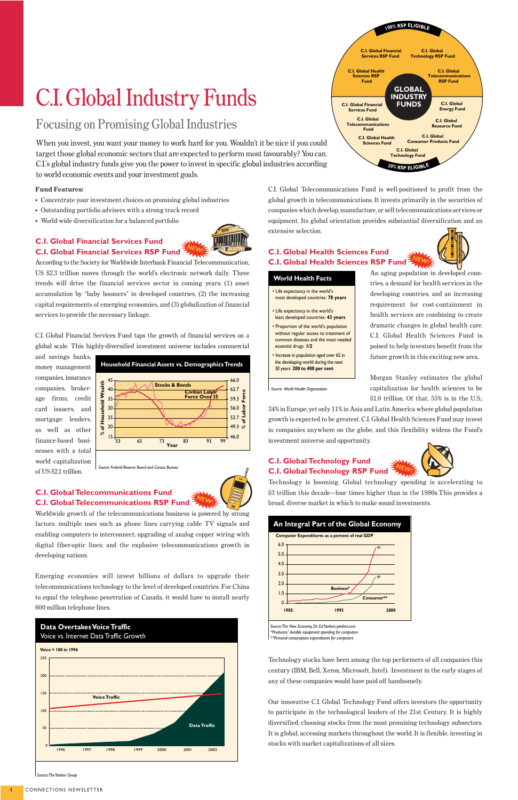#### **Fund Features:**

- Concentrate your investment choices on promising global industries
- Outstanding portfolio advisers with a strong track record
- World-wide diversification for a balanced portfolio

**C.I. Global Financial Services Fund C.I. Global Financial Services RSP Fund**

According to the Society for Worldwide Interbank Financial Telecommunication, US \$2.3 trillion moves through the world's electronic network daily. Three trends will drive the financial services sector in coming years: (1) asset accumulation by "baby boomers" in developed countries, (2) the increasing capital requirements of emerging economies, and (3) globalization of financial services to provide the necessary linkage.

C.I. Global Financial Services Fund taps the growth of financial services on a global scale. This highly-diversified investment universe includes commercial

and savings banks, money management companies, insurance companies, brokerage firms, credit card issuers, and mortgage lenders, as well as other finance-based businesses with a total world capitalization of US \$2.1 trillion.

#### **C.I. Global Telecommunications Fund C.I. Global Telecommunications RSP Fund**

Worldwide growth of the telecommunications business is powered by strong factors: multiple uses such as phone lines carrying cable TV signals and enabling computers to interconnect; upgrading of analog copper wiring with digital fiber-optic lines; and the explosive telecommunications growth in developing nations.

Emerging economies will invest billions of dollars to upgrade their telecommunications technology to the level of developed countries. For China to equal the telephone penetration of Canada, it would have to install nearly 600 million telephone lines.

C.I. Global Telecommunications Fund is well-positioned to profit from the global growth in telecommunications. It invests primarily in the securities of companies which develop, manufacture, or sell telecommunications services or equipment. Its global orientation provides substantial diversification and an extensive selection.

#### **C.I. Global Health Sciences Fund C.I. Global Health Sciences RSP Fund**

An aging population in developed countries, a demand for health services in the developing countries, and an increasing requirement for cost-containment in health services are combining to create dramatic changes in global health care. C.I. Global Health Sciences Fund is poised to help investors benefit from the future growth in this exciting new area.

Morgan Stanley estimates the global capitalization for health sciences to be

\$1.0 trillion. Of that, 55% is in the U.S.; 34% in Europe; yet only 11% in Asia and Latin America where global population growth is expected to be greatest. C.I. Global Health Sciences Fund may invest in companies anywhere on the globe, and this flexibility widens the Fund's

investment universe and opportunity.

#### **C.I. Global Technology Fund C.I. Global Technology RSP Fund**

Technology is booming. Global technology spending is accelerating to \$3 trillion this decade—four times higher than in the 1980s.This provides a broad, diverse market in which to make sound investments.

Technology stocks have been among the top performers of all companies this century (IBM, Bell, Xerox, Microsoft, Intel). Investment in the early stages of any of these companies would have paid off handsomely.

Our innovative C.I. Global Technology Fund offers investors the opportunity to participate in the technological leaders of the 21st Century. It is highly diversified, choosing stocks from the most promising technology subsectors. It is global, accessing markets throughout the world. It is flexible, investing in stocks with market capitalizations of all sizes.

# C.I. Global Industry Funds



*Source: The Yankee Group*



*Source: The New Economy, Dr. Ed Yardeni; yardeni.com \*Producers' durable equipment spending for computers \*\*Personal consumption expenditures for computers*





#### **World Health Facts**

*Source: World Health Organization*

- Life expectancy in the world's most developed countries: **78 years**
- Life expectancy in the world's least developed countries: **43 years**
- Proportion of the world's population without regular access to treatment of common diseases and the most needed essential drugs: **1/2**
- Increase in population aged over 65 in the developing world during the next 30 years: **200 to 400 per cent**

### Focusing on Promising Global Industries

When you invest, you want your money to work hard for you. Wouldn't it be nice if you could target those global economic sectors that are expected to perform most favourably? You can. C.I.'s global industry funds give you the power to invest in specific global industries according to world economic events and your investment goals.





**NEW!**



**NEW!**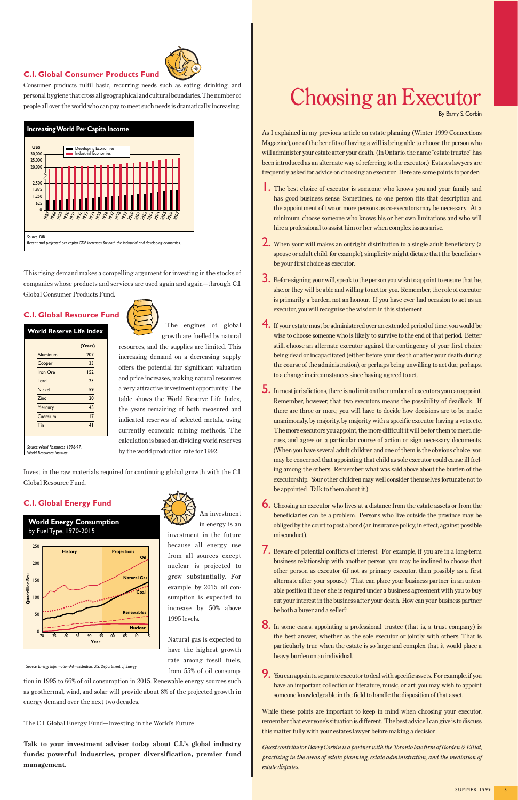

Consumer products fulfil basic, recurring needs such as eating, drinking, and personal hygiene that cross all geographical and cultural boundaries. The number of people all over the world who can pay to meet such needs is dramatically increasing.

This rising demand makes a compelling argument for investing in the stocks of companies whose products and services are used again and again—through C.I. Global Consumer Products Fund.

#### **C.I. Global Resource Fund**

The engines of global



resources, and the supplies are limited. This increasing demand on a decreasing supply offers the potential for significant valuation and price increases, making natural resources a very attractive investment opportunity. The table shows the World Reserve Life Index,

the years remaining of both measured and indicated reserves of selected metals, using currently economic mining methods. The calculation is based on dividing world reserves by the world production rate for 1992.

Invest in the raw materials required for continuing global growth with the C.I. Global Resource Fund.

#### **C.I. Global Energy Fund**

An investment in energy is an

investment in the future because all energy use from all sources except nuclear is projected to grow substantially. For example, by 2015, oil con-

sumption is expected to increase by 50% above 1995 levels.

Natural gas is expected to have the highest growth rate among fossil fuels, from 55% of oil consump-

tion in 1995 to 66% of oil consumption in 2015. Renewable energy sources such as geothermal, wind, and solar will provide about 8% of the projected growth in energy demand over the next two decades.

The C.I. Global Energy Fund—Investing in the World's Future

**Talk to your investment adviser today about C.I.'s global industry funds: powerful industries, proper diversification, premier fund management.**

#### **World Energy Consumption** by Fuel Type, 1970-2015

*Source: Energy Information Administration, U.S. Department of Energy*



**World Reserve Life Index**

*Source: World Resources 1996-97, World Resources Institute* 

|               | (Years)        |
|---------------|----------------|
| Aluminum      | 207            |
| Copper        | 33             |
| Iron Ore      | 152            |
| Lead          | 23             |
| <b>Nickel</b> | 59             |
| Zinc          | 20             |
| Mercury       | 45             |
| Cadmium       | 17             |
| Tin           | 4 <sub>1</sub> |



Recent and projected per capita GDP increases for both the industrial and developing econ

As I explained in my previous article on estate planning (Winter 1999 Connections Magazine), one of the benefits of having a will is being able to choose the person who will administer your estate after your death. (In Ontario, the name "estate trustee" has been introduced as an alternate way of referring to the executor.) Estates lawyers are frequently asked for advice on choosing an executor. Here are some points to ponder:

- 1. The best choice of executor is someone who knows you and your family and has good business sense. Sometimes, no one person fits that description and the appointment of two or more persons as co-executors may be necessary. At a minimum, choose someone who knows his or her own limitations and who will hire a professional to assist him or her when complex issues arise.
- 2. When your will makes an outright distribution to a single adult beneficiary (a spouse or adult child, for example), simplicity might dictate that the beneficiary be your first choice as executor.
- 3. Before signing your will, speak to the person you wish to appoint to ensure that he, she, or they will be able and willing to act for you. Remember, the role of executor is primarily a burden, not an honour. If you have ever had occasion to act as an executor, you will recognize the wisdom in this statement.
- 4. If your estate must be administered over an extended period of time, you would be wise to choose someone who is likely to survive to the end of that period. Better still, choose an alternate executor against the contingency of your first choice being dead or incapacitated (either before your death or after your death during the course of the administration), or perhaps being unwilling to act due, perhaps, to a change in circumstances since having agreed to act.
- 5. In most jurisdictions, there is no limit on the number of executors you can appoint. Remember, however, that two executors means the possibility of deadlock. If there are three or more, you will have to decide how decisions are to be made: unanimously, by majority, by majority with a specific executor having a veto, etc. The more executors you appoint, the more difficult it will be for them to meet, discuss, and agree on a particular course of action or sign necessary documents. (When you have several adult children and one of them is the obvious choice, you may be concerned that appointing that child as sole executor could cause ill feeling among the others. Remember what was said above about the burden of the executorship. Your other children may well consider themselves fortunate not to be appointed. Talk to them about it.)
- 6. Choosing an executor who lives at a distance from the estate assets or from the beneficiaries can be a problem. Persons who live outside the province may be obliged by the court to post a bond (an insurance policy, in effect, against possible misconduct).
- 7. Beware of potential conflicts of interest. For example, if you are in a long-term business relationship with another person, you may be inclined to choose that other person as executor (if not as primary executor, then possibly as a first alternate after your spouse). That can place your business partner in an unten-



able position if he or she is required under a business agreement with you to buy out your interest in the business after your death. How can your business partner be both a buyer and a seller?

- 8. In some cases, appointing a professional trustee (that is, a trust company) is the best answer, whether as the sole executor or jointly with others. That is particularly true when the estate is so large and complex that it would place a heavy burden on an individual.
- 9. You can appoint a separate executor to deal with specific assets. For example, if you have an important collection of literature, music, or art, you may wish to appoint someone knowledgeable in the field to handle the disposition of that asset.

While these points are important to keep in mind when choosing your executor, remember that everyone's situation is different. The best advice I can give is to discuss this matter fully with your estates lawyer before making a decision.

*Guest contributor Barry Corbin is a partner with the Toronto law firm of Borden & Elliot, practising in the areas of estate planning, estate administration, and the mediation of estate disputes.*

### Choosing an Executor By Barry S. Corbin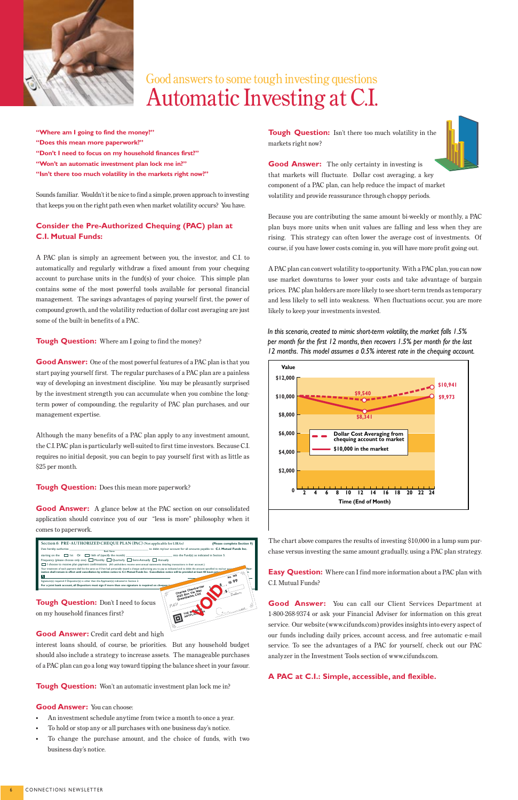**"Where am I going to find the money?" "Does this mean more paperwork?" "Don't I need to focus on my household finances first?" "Won't an automatic investment plan lock me in?" "Isn't there too much volatility in the markets right now?"**

Sounds familiar. Wouldn't it be nice to find a simple, proven approach to investing that keeps you on the right path even when market volatility occurs? You have.

#### **Consider the Pre-Authorized Chequing (PAC) plan at C.I. Mutual Funds:**

A PAC plan is simply an agreement between you, the investor, and C.I. to automatically and regularly withdraw a fixed amount from your chequing account to purchase units in the fund(s) of your choice. This simple plan contains some of the most powerful tools available for personal financial management. The savings advantages of paying yourself first, the power of compound growth, and the volatility reduction of dollar cost averaging are just some of the built-in benefits of a PAC.

**Tough Question:** Where am I going to find the money?

**Tough Question:** Don't I need to focus on my household finances first?

**Good Answer:** One of the most powerful features of a PAC plan is that you start paying yourself first. The regular purchases of a PAC plan are a painless way of developing an investment discipline. You may be pleasantly surprised by the investment strength you can accumulate when you combine the longterm power of compounding, the regularity of PAC plan purchases, and our management expertise.

**Tough Question:** Isn't there too much volatility in the markets right now?



**Good Answer:** The only certainty in investing is that markets will fluctuate. Dollar cost averaging, a key component of a PAC plan, can help reduce the impact of market volatility and provide reassurance through choppy periods.

Although the many benefits of a PAC plan apply to any investment amount, the C.I. PAC plan is particularly well-suited to first time investors. Because C.I. requires no initial deposit, you can begin to pay yourself first with as little as \$25 per month.

**Tough Question:** Does this mean more paperwork?

**Good Answer:** A glance below at the PAC section on our consolidated application should convince you of our "less is more" philosophy when it comes to paperwork.

#### **Good Answer:** Credit card debt and high

interest loans should, of course, be priorities. But any household budget should also include a strategy to increase assets. The manageable purchases of a PAC plan can go a long way toward tipping the balance sheet in your favour.

**Tough Question:** Won't an automatic investment plan lock me in?

#### **Good Answer:** You can choose:

- An investment schedule anytime from twice a month to once a year.
- To hold or stop any or all purchases with one business day's notice.
- To change the purchase amount, and the choice of funds, with two business day's notice.

Because you are contributing the same amount bi-weekly or monthly, a PAC plan buys more units when unit values are falling and less when they are rising. This strategy can often lower the average cost of investments. Of course, if you have lower costs coming in, you will have more profit going out.

A PAC plan can convert volatility to opportunity. With a PAC plan, you can now use market downturns to lower your costs and take advantage of bargain prices. PAC plan holders are more likely to see short-term trends as temporary and less likely to sell into weakness. When fluctuations occur, you are more likely to keep your investments invested.

The chart above compares the results of investing \$10,000 in a lump sum purchase versus investing the same amount gradually, using a PAC plan strategy.

**Easy Question:** Where can I find more information about a PAC plan with C.I. Mutual Funds?

**Good Answer:** You can call our Client Services Department at 1-800-268-9374 or ask your Financial Adviser for information on this great service. Our website (www.cifunds.com) provides insights into every aspect of our funds including daily prices, account access, and free automatic e-mail service. To see the advantages of a PAC for yourself, check out our PAC analyzer in the Investment Tools section of www.cifunds.com.

#### **A PAC at C.I.: Simple, accessible, and flexible.**









### Good answers to some tough investing questions Automatic Investing at C.I.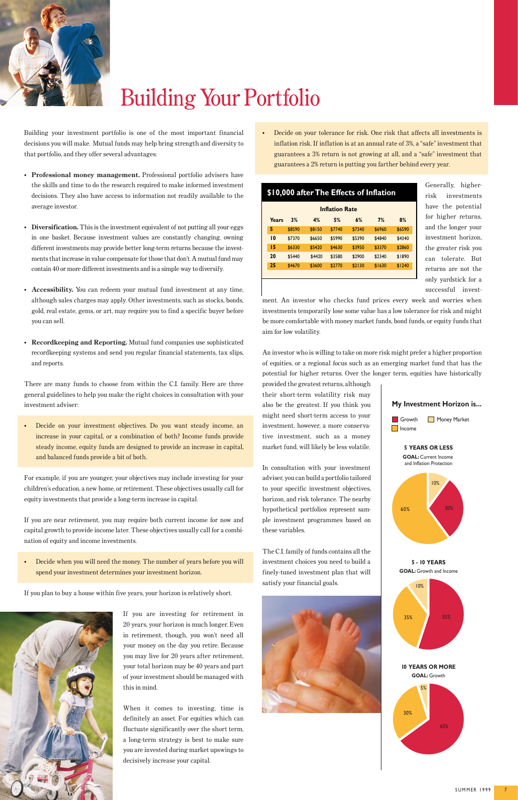Building your investment portfolio is one of the most important financial decisions you will make. Mutual funds may help bring strength and diversity to that portfolio, and they offer several advantages:

- **Professional money management.** Professional portfolio advisers have the skills and time to do the research required to make informed investment decisions. They also have access to information not readily available to the average investor.
- **Diversification.** This is the investment equivalent of not putting all your eggs in one basket. Because investment values are constantly changing, owning different investments may provide better long-term returns because the investments that increase in value compensate for those that don't. A mutual fund may contain 40 or more different investments and is a simple way to diversify.
- **Accessibility.** You can redeem your mutual fund investment at any time, although sales charges may apply. Other investments, such as stocks, bonds, gold, real estate, gems, or art, may require you to find a specific buyer before you can sell.
- **Recordkeeping and Reporting.** Mutual fund companies use sophisticated recordkeeping systems and send you regular financial statements, tax slips, and reports.

There are many funds to choose from within the C.I. family. Here are three general guidelines to help you make the right choices in consultation with your investment adviser:

• Decide on your investment objectives. Do you want steady income, an increase in your capital, or a combination of both? Income funds provide steady income, equity funds are designed to provide an increase in capital, and balanced funds provide a bit of both.

For example, if you are younger, your objectives may include investing for your children's education, a new home, or retirement. These objectives usually call for equity investments that provide a long-term increase in capital.

If you are near retirement, you may require both current income for now and capital growth to provide income later. These objectives usually call for a combination of equity and income investments.

• Decide when you will need the money. The number of years before you will spend your investment determines your investment horizon.

If you plan to buy a house within five years, your horizon is relatively short.



If you are investing for retirement in 20 years, your horizon is much longer. Even in retirement, though, you won't need all your money on the day you retire. Because you may live for 20 years after retirement, your total horizon may be 40 years and part of your investment should be managed with this in mind.

When it comes to investing, time is definitely an asset. For equities which can fluctuate significantly over the short term, a long-term strategy is best to make sure you are invested during market upswings to decisively increase your capital.



• Decide on your tolerance for risk. One risk that affects all investments is inflation risk. If inflation is at an annual rate of 3%, a "safe" investment that guarantees a 3% return is not growing at all, and a "safe" investment that guarantees a 2% return is putting you farther behind every year.

> Generally, higherrisk investments have the potential for higher returns, and the longer your investment horizon, the greater risk you can tolerate. But returns are not the only yardstick for a successful invest-

ment. An investor who checks fund prices every week and worries when investments temporarily lose some value has a low tolerance for risk and might be more comfortable with money market funds, bond funds, or equity funds that aim for low volatility.

An investor who is willing to take on more risk might prefer a higher proportion of equities, or a regional focus such as an emerging market fund that has the potential for higher returns. Over the longer term, equities have historically

provided the greatest returns, although their short-term volatility risk may also be the greatest. If you think you might need short-term access to your investment, however, a more conservative investment, such as a money market fund, will likely be less volatile.

In consultation with your investment adviser, you can build a portfolio tailored to your specific investment objectives, horizon, and risk tolerance. The nearby hypothetical portfolios represent sample investment programmes based on these variables.

The C.I. family of funds contains all the investment choices you need to build a finely-tuned investment plan that will satisfy your financial goals.

| \$10,000 after The Effects of Inflation |                 |        |        |        |        |        |        |
|-----------------------------------------|-----------------|--------|--------|--------|--------|--------|--------|
| <b>Inflation Rate</b>                   |                 |        |        |        |        |        |        |
|                                         | Years           | 3%     | 4%     | 5%     | 6%     | 7%     | 8%     |
|                                         | 5               | \$8590 | \$8150 | \$7740 | \$7340 | \$6960 | \$6590 |
|                                         | $\overline{10}$ | \$7370 | \$6650 | \$5990 | \$5390 | \$4840 | \$4340 |
|                                         | 15              | \$6330 | \$5420 | \$4630 | \$3950 | \$3370 | \$2860 |
|                                         | 20              | \$5440 | \$4420 | \$3580 | \$2900 | \$2340 | \$1890 |
|                                         | 25              | \$4670 | \$3600 | \$2770 | \$2130 | \$1630 | \$1240 |
|                                         |                 |        |        |        |        |        |        |







# Building Your Portfolio